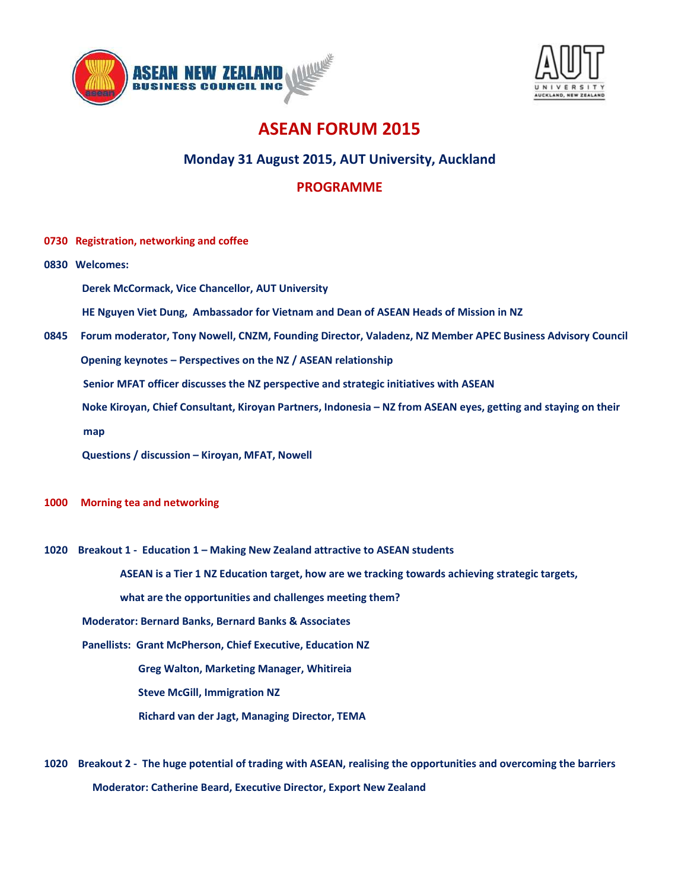



## ASEAN FORUM 2015

## Monday 31 August 2015, AUT University, Auckland

## PROGRAMME

- 0730 Registration, networking and coffee
- 0830 Welcomes:
	- Derek McCormack, Vice Chancellor, AUT University

HE Nguyen Viet Dung, Ambassador for Vietnam and Dean of ASEAN Heads of Mission in NZ

0845 Forum moderator, Tony Nowell, CNZM, Founding Director, Valadenz, NZ Member APEC Business Advisory Council Opening keynotes – Perspectives on the NZ / ASEAN relationship

Senior MFAT officer discusses the NZ perspective and strategic initiatives with ASEAN

Noke Kiroyan, Chief Consultant, Kiroyan Partners, Indonesia – NZ from ASEAN eyes, getting and staying on their

map

Questions / discussion – Kiroyan, MFAT, Nowell

- 1000 Morning tea and networking
- 1020 Breakout 1 Education 1 Making New Zealand attractive to ASEAN students

ASEAN is a Tier 1 NZ Education target, how are we tracking towards achieving strategic targets,

what are the opportunities and challenges meeting them?

Moderator: Bernard Banks, Bernard Banks & Associates

Panellists: Grant McPherson, Chief Executive, Education NZ

Greg Walton, Marketing Manager, Whitireia

Steve McGill, Immigration NZ

- Richard van der Jagt, Managing Director, TEMA
- 1020 Breakout 2 The huge potential of trading with ASEAN, realising the opportunities and overcoming the barriers Moderator: Catherine Beard, Executive Director, Export New Zealand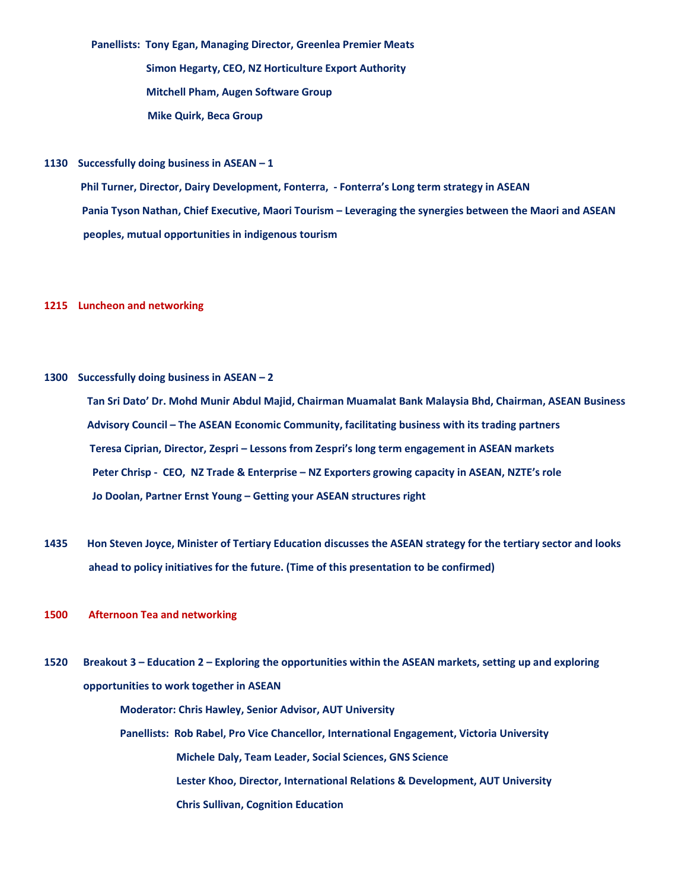Panellists: Tony Egan, Managing Director, Greenlea Premier Meats

 Simon Hegarty, CEO, NZ Horticulture Export Authority Mitchell Pham, Augen Software Group Mike Quirk, Beca Group

1130 Successfully doing business in  $ASEAN - 1$ 

 Phil Turner, Director, Dairy Development, Fonterra, - Fonterra's Long term strategy in ASEAN Pania Tyson Nathan, Chief Executive, Maori Tourism – Leveraging the synergies between the Maori and ASEAN peoples, mutual opportunities in indigenous tourism

## 1215 Luncheon and networking

1300 Successfully doing business in ASEAN – 2

 Tan Sri Dato' Dr. Mohd Munir Abdul Majid, Chairman Muamalat Bank Malaysia Bhd, Chairman, ASEAN Business Advisory Council – The ASEAN Economic Community, facilitating business with its trading partners Teresa Ciprian, Director, Zespri – Lessons from Zespri's long term engagement in ASEAN markets Peter Chrisp - CEO, NZ Trade & Enterprise – NZ Exporters growing capacity in ASEAN, NZTE's role Jo Doolan, Partner Ernst Young – Getting your ASEAN structures right

- 1435 Hon Steven Joyce, Minister of Tertiary Education discusses the ASEAN strategy for the tertiary sector and looks ahead to policy initiatives for the future. (Time of this presentation to be confirmed)
- 1500 Afternoon Tea and networking
- 1520 Breakout 3 Education 2 Exploring the opportunities within the ASEAN markets, setting up and exploring opportunities to work together in ASEAN Moderator: Chris Hawley, Senior Advisor, AUT University Panellists: Rob Rabel, Pro Vice Chancellor, International Engagement, Victoria University

 Michele Daly, Team Leader, Social Sciences, GNS Science Lester Khoo, Director, International Relations & Development, AUT University Chris Sullivan, Cognition Education